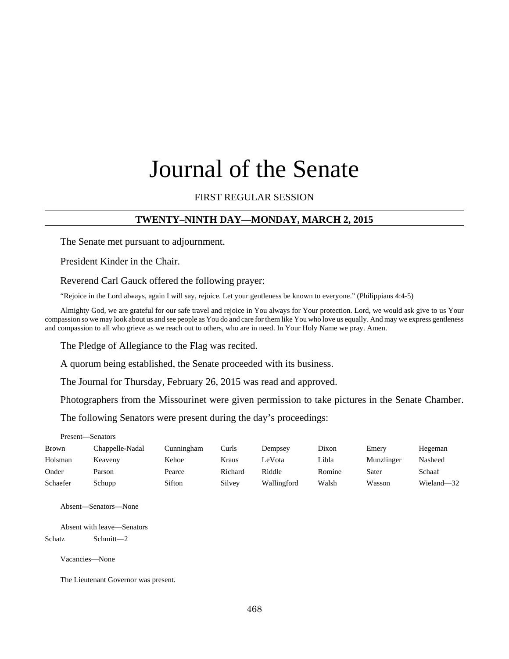# Journal of the Senate

# FIRST REGULAR SESSION

## **TWENTY–NINTH DAY—MONDAY, MARCH 2, 2015**

The Senate met pursuant to adjournment.

President Kinder in the Chair.

Reverend Carl Gauck offered the following prayer:

"Rejoice in the Lord always, again I will say, rejoice. Let your gentleness be known to everyone." (Philippians 4:4-5)

Almighty God, we are grateful for our safe travel and rejoice in You always for Your protection. Lord, we would ask give to us Your compassion so we may look about us and see people as You do and care for them like You who love us equally. And may we express gentleness and compassion to all who grieve as we reach out to others, who are in need. In Your Holy Name we pray. Amen.

The Pledge of Allegiance to the Flag was recited.

A quorum being established, the Senate proceeded with its business.

The Journal for Thursday, February 26, 2015 was read and approved.

Photographers from the Missourinet were given permission to take pictures in the Senate Chamber.

The following Senators were present during the day's proceedings:

Present—Senators

| <b>Brown</b> | Chappelle-Nadal | Cunningham | Curls   | Dempsey     | Dixon  | Emery      | Hegeman    |
|--------------|-----------------|------------|---------|-------------|--------|------------|------------|
| Holsman      | Keaveny         | Kehoe      | Kraus   | eVota       | Libla  | Munzlinger | Nasheed    |
| Onder        | Parson          | Pearce     | Richard | Riddle      | Romine | Sater      | Schaaf     |
| Schaefer     | Schupp          | Sifton     | Silvey  | Wallingford | Walsh  | Wasson     | Wieland—32 |

Absent—Senators—None

Absent with leave—Senators Schatz Schmitt—2

Vacancies—None

The Lieutenant Governor was present.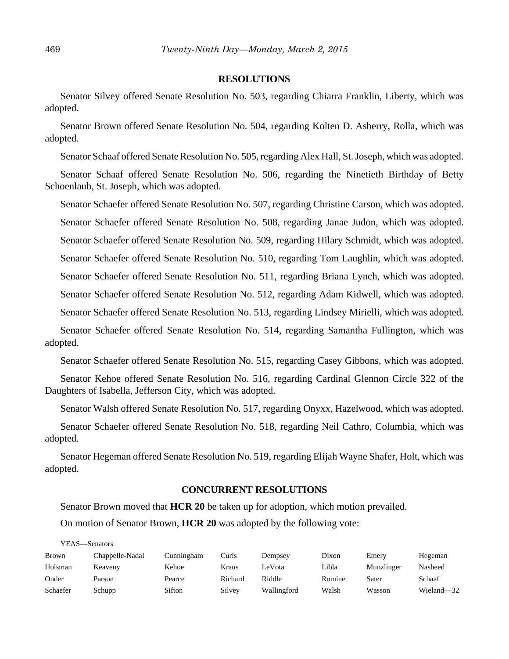#### **RESOLUTIONS**

Senator Silvey offered Senate Resolution No. 503, regarding Chiarra Franklin, Liberty, which was adopted.

Senator Brown offered Senate Resolution No. 504, regarding Kolten D. Asberry, Rolla, which was adopted.

Senator Schaaf offered Senate Resolution No. 505, regarding Alex Hall, St. Joseph, which was adopted.

Senator Schaaf offered Senate Resolution No. 506, regarding the Ninetieth Birthday of Betty Schoenlaub, St. Joseph, which was adopted.

Senator Schaefer offered Senate Resolution No. 507, regarding Christine Carson, which was adopted. Senator Schaefer offered Senate Resolution No. 508, regarding Janae Judon, which was adopted. Senator Schaefer offered Senate Resolution No. 509, regarding Hilary Schmidt, which was adopted. Senator Schaefer offered Senate Resolution No. 510, regarding Tom Laughlin, which was adopted.

Senator Schaefer offered Senate Resolution No. 511, regarding Briana Lynch, which was adopted.

Senator Schaefer offered Senate Resolution No. 512, regarding Adam Kidwell, which was adopted.

Senator Schaefer offered Senate Resolution No. 513, regarding Lindsey Mirielli, which was adopted.

Senator Schaefer offered Senate Resolution No. 514, regarding Samantha Fullington, which was adopted.

Senator Schaefer offered Senate Resolution No. 515, regarding Casey Gibbons, which was adopted.

Senator Kehoe offered Senate Resolution No. 516, regarding Cardinal Glennon Circle 322 of the Daughters of Isabella, Jefferson City, which was adopted.

Senator Walsh offered Senate Resolution No. 517, regarding Onyxx, Hazelwood, which was adopted.

Senator Schaefer offered Senate Resolution No. 518, regarding Neil Cathro, Columbia, which was adopted.

Senator Hegeman offered Senate Resolution No. 519, regarding Elijah Wayne Shafer, Holt, which was adopted.

# **CONCURRENT RESOLUTIONS**

Senator Brown moved that **HCR 20** be taken up for adoption, which motion prevailed.

On motion of Senator Brown, **HCR 20** was adopted by the following vote:

YEAS—Senators Brown Chappelle-Nadal Cunningham Curls Dempsey Dixon Emery Hegeman Holsman Keaveny Kehoe Kraus LeVota Libla Munzlinger Nasheed Onder Parson Pearce Richard Riddle Romine Sater Schaaf Schaefer Schupp Sifton Silvey Wallingford Walsh Wasson Wieland—32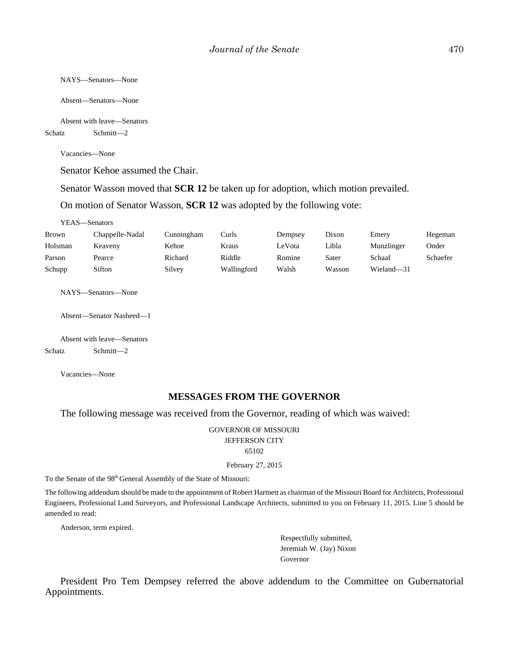```
NAYS—Senators—None
```
Absent—Senators—None

Absent with leave—Senators

Schatz Schmitt—2

Vacancies—None

Senator Kehoe assumed the Chair.

Senator Wasson moved that **SCR 12** be taken up for adoption, which motion prevailed.

On motion of Senator Wasson, **SCR 12** was adopted by the following vote:

YEAS—Senators

| Brown   | Chappelle-Nadal | Cunningham | Curls       | Dempsey | Dixon  | Emery      | Hegeman  |
|---------|-----------------|------------|-------------|---------|--------|------------|----------|
| Holsman | Keaveny         | Kehoe      | Kraus       | LeVota  | Libla  | Munzlinger | Onder    |
| Parson  | Pearce          | Richard    | Riddle      | Romine  | Sater  | Schaaf     | Schaefer |
| Schupp  | Sifton          | Silvey     | Wallingford | Walsh   | Wasson | Wieland—31 |          |

NAYS—Senators—None

Absent—Senator Nasheed—1

Absent with leave—Senators Schatz Schmitt—2

Vacancies—None

### **MESSAGES FROM THE GOVERNOR**

The following message was received from the Governor, reading of which was waived:

GOVERNOR OF MISSOURI JEFFERSON CITY 65102

February 27, 2015

To the Senate of the 98th General Assembly of the State of Missouri:

The following addendum should be made to the appointment of Robert Hartnett as chairman of the Missouri Board for Architects, Professional Engineers, Professional Land Surveyors, and Professional Landscape Architects, submitted to you on February 11, 2015. Line 5 should be amended to read:

Anderson, term expired.

Respectfully submitted, Jeremiah W. (Jay) Nixon Governor

President Pro Tem Dempsey referred the above addendum to the Committee on Gubernatorial Appointments.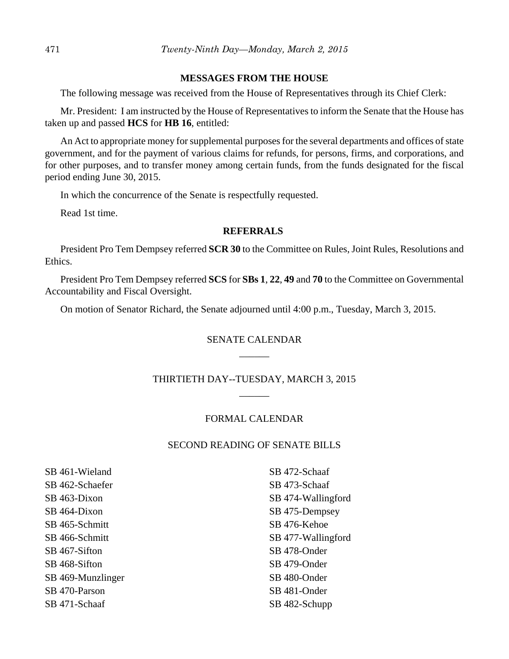#### **MESSAGES FROM THE HOUSE**

The following message was received from the House of Representatives through its Chief Clerk:

Mr. President: I am instructed by the House of Representatives to inform the Senate that the House has taken up and passed **HCS** for **HB 16**, entitled:

An Act to appropriate money for supplemental purposes for the several departments and offices of state government, and for the payment of various claims for refunds, for persons, firms, and corporations, and for other purposes, and to transfer money among certain funds, from the funds designated for the fiscal period ending June 30, 2015.

In which the concurrence of the Senate is respectfully requested.

Read 1st time.

#### **REFERRALS**

President Pro Tem Dempsey referred **SCR 30** to the Committee on Rules, Joint Rules, Resolutions and Ethics.

President Pro Tem Dempsey referred **SCS** for **SBs 1**, **22**, **49** and **70** to the Committee on Governmental Accountability and Fiscal Oversight.

On motion of Senator Richard, the Senate adjourned until 4:00 p.m., Tuesday, March 3, 2015.

# SENATE CALENDAR  $\overline{\phantom{a}}$

# THIRTIETH DAY--TUESDAY, MARCH 3, 2015 \_\_\_\_\_\_

### FORMAL CALENDAR

# SECOND READING OF SENATE BILLS

SB 461-Wieland SB 462-Schaefer SB 463-Dixon SB 464-Dixon SB 465-Schmitt SB 466-Schmitt SB 467-Sifton SB 468-Sifton SB 469-Munzlinger SB 470-Parson SB 471-Schaaf

SB 472-Schaaf SB 473-Schaaf SB 474-Wallingford SB 475-Dempsey SB 476-Kehoe SB 477-Wallingford SB 478-Onder SB 479-Onder SB 480-Onder SB 481-Onder SB 482-Schupp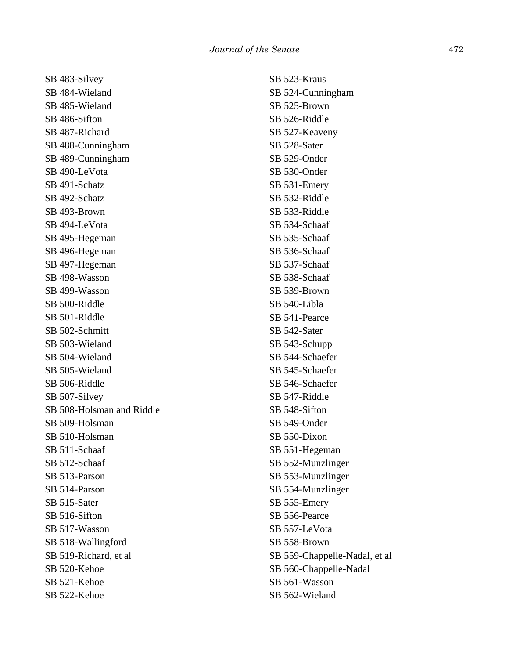SB 483-Silvey SB 484-Wieland SB 485-Wieland SB 486-Sifton SB 487-Richard SB 488-Cunningham SB 489-Cunningham SB 490-LeVota SB 491-Schatz SB 492-Schatz SB 493-Brown SB 494-LeVota SB 495-Hegeman SB 496-Hegeman SB 497-Hegeman SB 498-Wasson SB 499-Wasson SB 500-Riddle SB 501-Riddle SB 502-Schmitt SB 503-Wieland SB 504-Wieland SB 505-Wieland SB 506-Riddle SB 507-Silvey SB 508-Holsman and Riddle SB 509-Holsman SB 510-Holsman SB 511-Schaaf SB 512-Schaaf SB 513-Parson SB 514-Parson SB 515-Sater SB 516-Sifton SB 517-Wasson SB 518-Wallingford SB 519-Richard, et al SB 520-Kehoe SB 521-Kehoe SB 522-Kehoe

SB 523-Kraus SB 524-Cunningham SB 525-Brown SB 526-Riddle SB 527-Keaveny SB 528-Sater SB 529-Onder SB 530-Onder SB 531-Emery SB 532-Riddle SB 533-Riddle SB 534-Schaaf SB 535-Schaaf SB 536-Schaaf SB 537-Schaaf SB 538-Schaaf SB 539-Brown SB 540-Libla SB 541-Pearce SB 542-Sater SB 543-Schupp SB 544-Schaefer SB 545-Schaefer SB 546-Schaefer SB 547-Riddle SB 548-Sifton SB 549-Onder SB 550-Dixon SB 551-Hegeman SB 552-Munzlinger SB 553-Munzlinger SB 554-Munzlinger SB 555-Emery SB 556-Pearce SB 557-LeVota SB 558-Brown SB 559-Chappelle-Nadal, et al SB 560-Chappelle-Nadal SB 561-Wasson SB 562-Wieland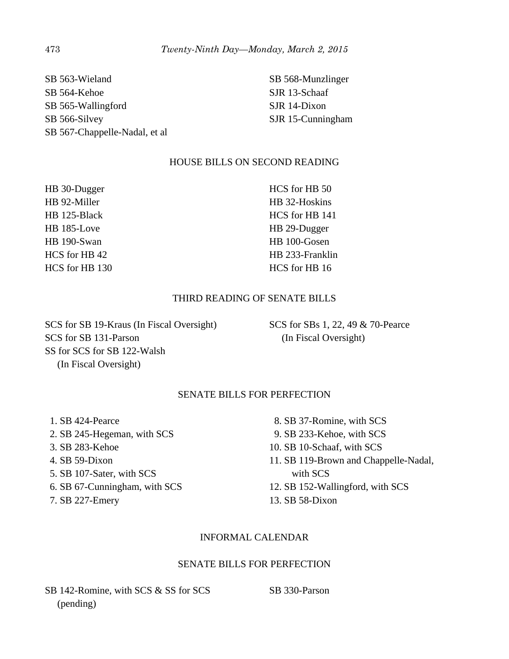SB 563-Wieland SB 564-Kehoe SB 565-Wallingford SB 566-Silvey SB 567-Chappelle-Nadal, et al

SB 568-Munzlinger SJR 13-Schaaf SJR 14-Dixon SJR 15-Cunningham

# HOUSE BILLS ON SECOND READING

HB 30-Dugger HB 92-Miller HB 125-Black HB 185-Love HB 190-Swan HCS for HB 42 HCS for HB 130 HCS for HB 50 HB 32-Hoskins HCS for HB 141 HB 29-Dugger HB 100-Gosen HB 233-Franklin HCS for HB 16

# THIRD READING OF SENATE BILLS

SCS for SB 19-Kraus (In Fiscal Oversight) SCS for SB 131-Parson SS for SCS for SB 122-Walsh (In Fiscal Oversight)

SCS for SBs 1, 22, 49 & 70-Pearce (In Fiscal Oversight)

# SENATE BILLS FOR PERFECTION

 1. SB 424-Pearce 2. SB 245-Hegeman, with SCS 3. SB 283-Kehoe 4. SB 59-Dixon 5. SB 107-Sater, with SCS 6. SB 67-Cunningham, with SCS 7. SB 227-Emery

- 8. SB 37-Romine, with SCS
- 9. SB 233-Kehoe, with SCS
- 10. SB 10-Schaaf, with SCS
- 11. SB 119-Brown and Chappelle-Nadal, with SCS
- 12. SB 152-Wallingford, with SCS
- 13. SB 58-Dixon

## INFORMAL CALENDAR

## SENATE BILLS FOR PERFECTION

SB 142-Romine, with SCS & SS for SCS (pending)

SB 330-Parson